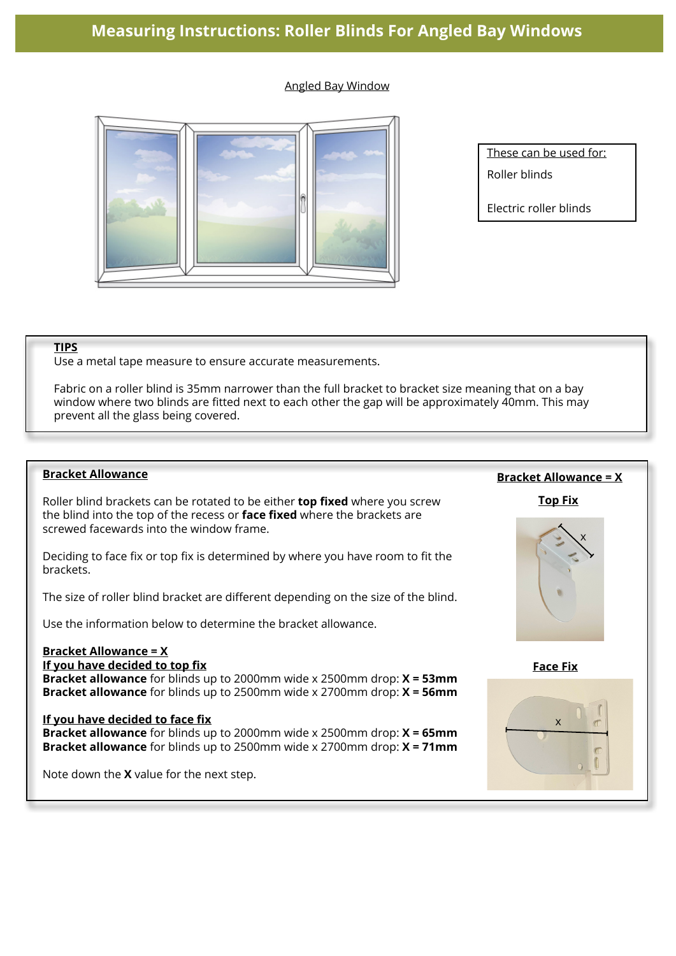#### Angled Bay Window



These can be used for:

Roller blinds

Electric roller blinds

#### **TIPS**

Use a metal tape measure to ensure accurate measurements.

Fabric on a roller blind is 35mm narrower than the full bracket to bracket size meaning that on a bay window where two blinds are fitted next to each other the gap will be approximately 40mm. This may prevent all the glass being covered.

#### **Bracket Allowance**

Roller blind brackets can be rotated to be either **top fixed** where you screw the blind into the top of the recess or **face fixed** where the brackets are screwed facewards into the window frame.

Deciding to face fix or top fix is determined by where you have room to fit the brackets.

The size of roller blind bracket are different depending on the size of the blind.

Use the information below to determine the bracket allowance.

# **Bracket Allowance = X**

# **If you have decided to top fix**

**Bracket allowance** for blinds up to 2000mm wide x 2500mm drop: **X = 53mm Bracket allowance** for blinds up to 2500mm wide x 2700mm drop: **X = 56mm**

#### **If you have decided to face fix**

**Bracket allowance** for blinds up to 2000mm wide x 2500mm drop: **X = 65mm Bracket allowance** for blinds up to 2500mm wide x 2700mm drop: **X = 71mm**

Note down the **X** value for the next step.

# **Bracket Allowance = X**

**Top Fix**